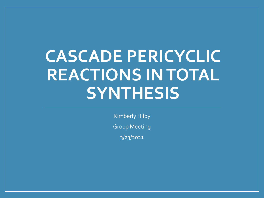# **CASCADE PERICYCLIC REACTIONS IN TOTAL SYNTHESIS**

Kimberly Hilby Group Meeting

3/23/2021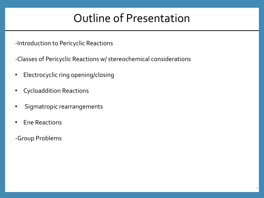#### Outline of Presentation

-Introduction to Pericyclic Reactions

-Classes of Pericyclic Reactions w/ stereochemical considerations

- Electrocyclic ring opening/closing
- Cycloaddition Reactions
- Sigmatropic rearrangements
- Ene Reactions
- -Group Problems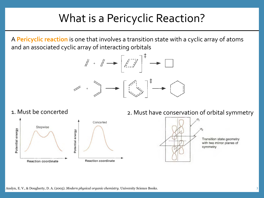### What is a Pericyclic Reaction?

A **Pericyclic reaction** is one that involves a transition state with a cyclic array of atoms and an associated cyclic array of interacting orbitals



#### 1. Must be concerted



#### 2. Must have conservation of orbital symmetry



**Transition state geometry** with two mirror planes of symmetry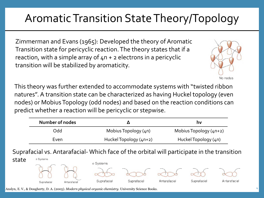#### Even HuckelTopology (4n+2) HuckelTopology (4n)

Suprafacial vs. Antarafacial- Which face of the orbital will participate in the transition

Odd Mobius Topology (4n) Mobius Topology (4n+2)



Anslyn, E. V., & Dougherty, D. A. (2005). *Modern physical organic chemistry*. University Science Books. <sup>4</sup>

Aromatic Transition State Theory/Topology

Zimmerman and Evans (1965): Developed the theory of Aromatic Transition state for pericyclic reaction. The theory states that if a reaction, with a simple array of  $4n + 2$  electrons in a pericyclic transition will be stabilized by aromaticity.



This theory was further extended to accommodate systems with "twisted ribbon natures". A transition state can be characterized as having Huckel topology (even nodes) or Mobius Topology (odd nodes) and based on the reaction conditions can predict whether a reaction will be pericyclic or stepwise.

**Number of nodes Δ hv**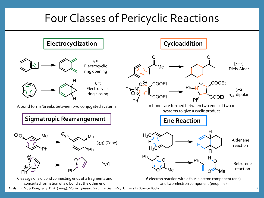### Four Classes of Pericyclic Reactions

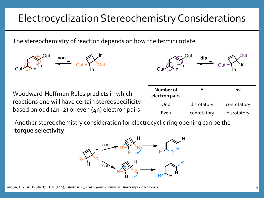#### Electrocyclization Stereochemistry Considerations

The stereochemistry of reaction depends on how the termini rotate

Woodward-Hoffman Rules predicts in which reactions one will have certain stereospecificity based on odd  $(4n+2)$  or even  $(4n)$  electron pairs

| Number of<br>electron pairs |             | hv          |
|-----------------------------|-------------|-------------|
| Odd                         | disrotatory | conrotatory |
| Even                        | conrotatory | disrotatory |

Another stereochemistry consideration for electrocyclic ring opening can be the **torque selectivity** 





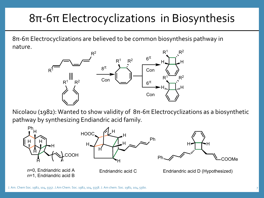## 8π-6π Electrocyclizations in Biosynthesis

8π-6π Electrocyclizations are believed to be common biosynthesis pathway in nature.



Nicolaou (1982): Wanted to show validity of 8π-6π Electrocyclizations as a biosynthetic pathway by synthesizing Endiandric acid family.

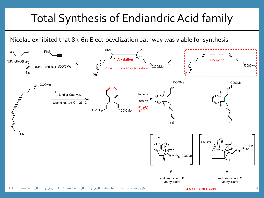## Total Synthesis of Endiandric Acid family

Nicolau exhibited that 8π-6π Electrocyclization pathway was viable for synthesis.

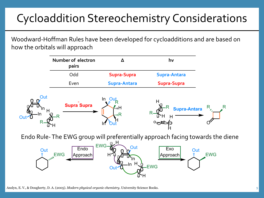## Cycloaddition Stereochemistry Considerations

Woodward-Hoffman Rules have been developed for cycloadditions and are based on how the orbitals will approach

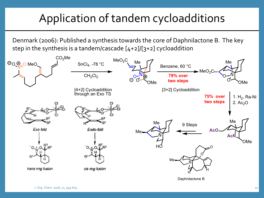## Application of tandem cycloadditions

Denmark (2006): Published a synthesis towards the core of Daphnilactone B. The key step in the synthesis is a tandem/cascade [4+2]/[3+2] cycloaddition

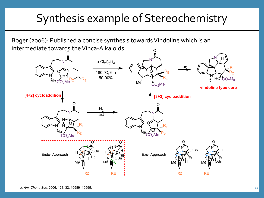## Synthesis example of Stereochemistry

Boger (2006): Published a concise synthesis towards Vindoline which is an intermediate towards the Vinca-Alkaloids

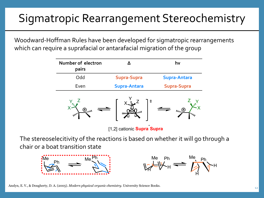## Sigmatropic Rearrangement Stereochemistry

Woodward-Hoffman Rules have been developed for sigmatropic rearrangements which can require a suprafacial or antarafacial migration of the group

| Number of electron<br>pairs |                     | hv                  |
|-----------------------------|---------------------|---------------------|
| Odd                         | <b>Supra-Supra</b>  | <b>Supra-Antara</b> |
| Even                        | <b>Supra-Antara</b> | Supra-Supra         |



[1,2] cationic **Supra**-**Supra**

The stereoselecitivity of the reactions is based on whether it will go through a chair or a boat transition state





Anslyn, E. V., & Dougherty, D. A. (2005). *Modern physical organic chemistry*. University Science Books. <sup>12</sup>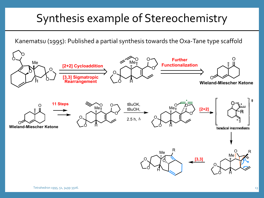## Synthesis example of Stereochemistry

Kanematsu (1995): Published a partial synthesis towards the Oxa-Tane type scaffold

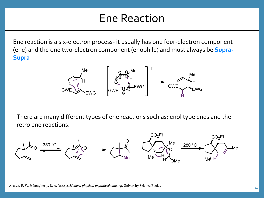#### Ene Reaction

Ene reaction is a six-electron process- it usually has one four-electron component (ene) and the one two-electron component (enophile) and must always be **Supra-Supra**



There are many different types of ene reactions such as: enol type enes and the retro ene reactions.

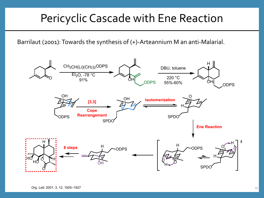#### Pericyclic Cascade with Ene Reaction

Barrilaut (2001): Towards the synthesis of (+)-Arteannium M an anti-Malarial.

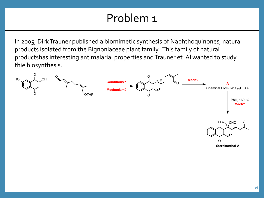### Problem 1

In 2005, Dirk Trauner published a biomimetic synthesis of Naphthoquinones, natural products isolated from the Bignoniaceae plant family. This family of natural productshas interesting antimalarial properties and Trauner et. Al wanted to study thie biosynthesis.

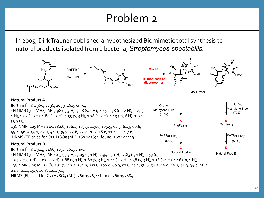#### Problem 2

In 2005, Dirk Trauner published a hypothesized Biomimetic total synthesis to natural products isolated from a bacteria, *Streptomyces spectabilis.* 



HRMS (EI) calcd for C21H28O5 (M+): 360.193674; found: 360.193884.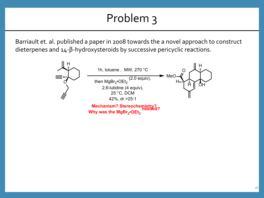## Problem 3

Barriault et. al. published a paper in 2008 towards the a novel approach to construct dieterpenes and 14-β-hydroxysteroids by successive pericyclic reactions.

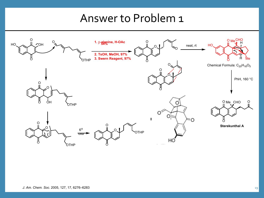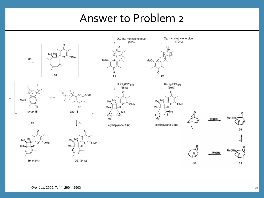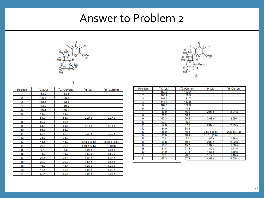



| - |  |
|---|--|
|   |  |

| <b>Position</b> | $13C$ (Lit.) | $13$ C (Current) | H(Lit.)          | <sup>1</sup> H (Current) |
|-----------------|--------------|------------------|------------------|--------------------------|
| 1               | 163.2        | 163.3            |                  |                          |
| 2               | 105.4        | 105.5            |                  |                          |
| 3               | 182.5        | 182.6            |                  |                          |
| 4               | 118.9        | 119.0            |                  |                          |
| 5               | 166.1        | 166.2            |                  |                          |
| 6               | 44.9         | 45.0             |                  |                          |
| 7               | 54.0         | 54.1             | 2.27s            | 2.27s                    |
| 8               | 59.2         | 59.4             |                  |                          |
| 9               | 61.1         | 61.3             | 3.18 s           | 3.18 s                   |
| 10              | 56.7         | 56.9             |                  |                          |
| 11              | 62.1         | 62.3             | 2.39 s           | 2.39 <sub>s</sub>        |
| 12              | 35.7         | 35.9             |                  |                          |
| 13              | 43.8         | 44.0             | $2.43$ q $(7.5)$ | 2.45q(7.5)               |
| 14              | 20.3         | 20.5             | 1.19 d $(7.5)$   | 1.19 m                   |
| 15              | 7.4          | 7.6              | 1.93 s           | 1.93 s                   |
| 16              | 11.0         | 11.2             | 1.89 s           | 1.89 <sub>s</sub>        |
| 17              | 23.4         | 23.6             | 1.38 s           | 1.38 s                   |
| 18              | 22.0         | 22.2             | 1.55s            | 1.55s                    |
| 19              | 11.2         | 11.4             | 1.20 s           | 1.20 s                   |
| 20              | 18.4         | 18.6             | 1.03 s           | 1.02 s                   |
| 21              | 60.4         | 60.6             | 3.98 s           | 3.98 s                   |

| Position | $13C$ (Lit.) | $13C$ (Current) | H(Lit.)           | <sup>1</sup> H (Current) |
|----------|--------------|-----------------|-------------------|--------------------------|
|          | 162.0        | 162.2           |                   |                          |
| 2        | 100.9        | 100.9           |                   |                          |
| 3        | 181.7        | 181.7           |                   |                          |
| 4        | 117.8        | 117.8           |                   |                          |
| 5        | 162.3        | 162.3           |                   |                          |
| 6        | 44.3         | 44.3            |                   |                          |
| 7        | 46.9         | 46.9            | 2.93 s            | 2.94s                    |
| 8        | 56.2         | 56.2            |                   |                          |
| 9        | 60.3         | 60.3            | 3.08 <sub>s</sub> | 3.09 <sub>s</sub>        |
| 10       | 56.7         | 56.8            |                   |                          |
| 11       | 57.8         | 57.9            | 2.82s             | 2.83s                    |
| 12       | 34.0         | 34.1            |                   |                          |
| 13       | 46.0         | 46.1            | $2.52$ q $(6.8)$  | 2.53q(7.3)               |
| 14       | 10.0         | 10.1            | 1.16 d $(6.8)$    | 1.16 <sub>m</sub>        |
| 15       | 7.1          | 7.1             | 1.86 s            | 1.88 s                   |
| 16       | 10.8         | 10.8            | 2.08 <sub>s</sub> | 2.02s                    |
| 17       | 15.7         | 15.7            | 1.37 <sub>s</sub> | 1.38 <sub>s</sub>        |
| 18       | 21.4         | 21.4            | 1.40 s            | 1.41 s                   |
| 19       | 21.0         | 21.1            | 1.58 <sub>s</sub> | 1.60 s                   |
| 20       | 26.1         | 26.2            | 1.17 <sub>s</sub> | 1.18 s                   |
| 21       | 57.3         | 57.3            | 4.03 s            | 4.05 <sub>s</sub>        |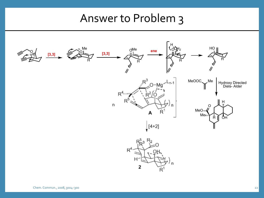